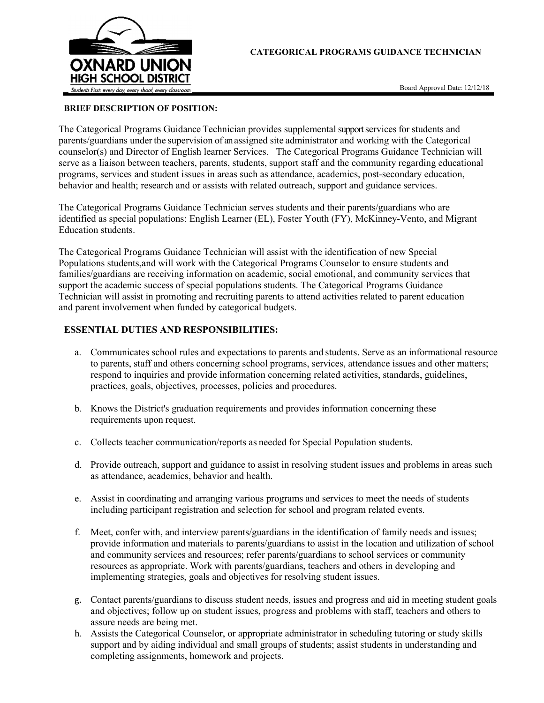

Board Approval Date: 12/12/18

## BRIEF DESCRIPTION OF POSITION:

The Categorical Programs Guidance Technician provides supplemental support services for students and parents/guardians under the supervision of an assigned site administrator and working with the Categorical counselor(s) and Director of English learner Services. The Categorical Programs Guidance Technician will serve as a liaison between teachers, parents, students, support staff and the community regarding educational programs, services and student issues in areas such as attendance, academics, post-secondary education, behavior and health; research and or assists with related outreach, support and guidance services.

The Categorical Programs Guidance Technician serves students and their parents/guardians who are identified as special populations: English Learner (EL), Foster Youth (FY), McKinney-Vento, and Migrant Education students.

The Categorical Programs Guidance Technician will assist with the identification of new Special Populations students,and will work with the Categorical Programs Counselor to ensure students and families/guardians are receiving information on academic, social emotional, and community services that support the academic success of special populations students. The Categorical Programs Guidance Technician will assist in promoting and recruiting parents to attend activities related to parent education and parent involvement when funded by categorical budgets.

# ESSENTIAL DUTIES AND RESPONSIBILITIES:

- a. Communicates school rules and expectations to parents and students. Serve as an informational resource to parents, staff and others concerning school programs, services, attendance issues and other matters; respond to inquiries and provide information concerning related activities, standards, guidelines, practices, goals, objectives, processes, policies and procedures.
- b. Knows the District's graduation requirements and provides information concerning these requirements upon request.
- c. Collects teacher communication/reports as needed for Special Population students.
- d. Provide outreach, support and guidance to assist in resolving student issues and problems in areas such as attendance, academics, behavior and health.
- e. Assist in coordinating and arranging various programs and services to meet the needs of students including participant registration and selection for school and program related events.
- f. Meet, confer with, and interview parents/guardians in the identification of family needs and issues; provide information and materials to parents/guardians to assist in the location and utilization of school and community services and resources; refer parents/guardians to school services or community resources as appropriate. Work with parents/guardians, teachers and others in developing and implementing strategies, goals and objectives for resolving student issues.
- g. Contact parents/guardians to discuss student needs, issues and progress and aid in meeting student goals and objectives; follow up on student issues, progress and problems with staff, teachers and others to assure needs are being met.
- h. Assists the Categorical Counselor, or appropriate administrator in scheduling tutoring or study skills support and by aiding individual and small groups of students; assist students in understanding and completing assignments, homework and projects.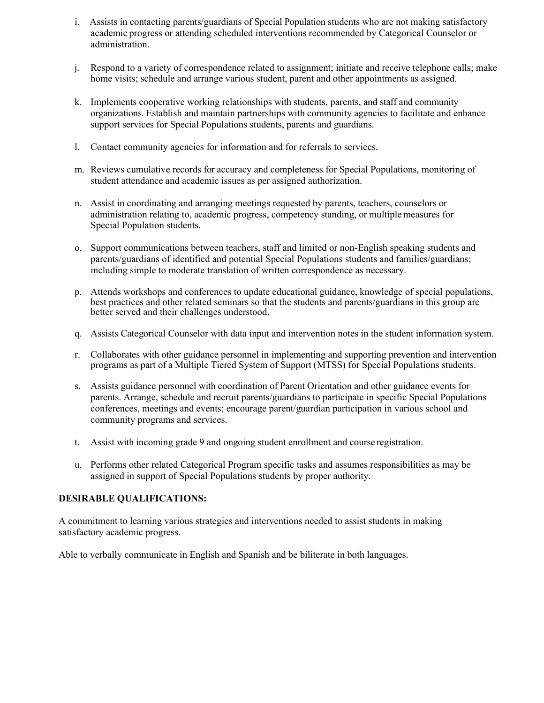- i. Assists in contacting parents/guardians of Special Population students who are not making satisfactory academic progress or attending scheduled interventions recommended by Categorical Counselor or administration.
- j. Respond to a variety of correspondence related to assignment; initiate and receive telephone calls; make home visits; schedule and arrange various student, parent and other appointments as assigned.
- k. Implements cooperative working relationships with students, parents, and staff and community organizations. Establish and maintain partnerships with community agencies to facilitate and enhance support services for Special Populations students, parents and guardians.
- l. Contact community agencies for information and for referrals to services.
- m. Reviews cumulative records for accuracy and completeness for Special Populations, monitoring of student attendance and academic issues as per assigned authorization.
- n. Assist in coordinating and arranging meetings requested by parents, teachers, counselors or administration relating to, academic progress, competency standing, or multiple measures for Special Population students.
- o. Support communications between teachers, staff and limited or non‐English speaking students and parents/guardians of identified and potential Special Populations students and families/guardians; including simple to moderate translation of written correspondence as necessary.
- p. Attends workshops and conferences to update educational guidance, knowledge of special populations, best practices and other related seminars so that the students and parents/guardians in this group are better served and their challenges understood.
- q. Assists Categorical Counselor with data input and intervention notes in the student information system.
- r. Collaborates with other guidance personnel in implementing and supporting prevention and intervention programs as part of a Multiple Tiered System of Support (MTSS) for Special Populations students.
- s. Assists guidance personnel with coordination of Parent Orientation and other guidance events for parents. Arrange, schedule and recruit parents/guardians to participate in specific Special Populations conferences, meetings and events; encourage parent/guardian participation in various school and community programs and services.
- t. Assist with incoming grade 9 and ongoing student enrollment and course registration.
- u. Performs other related Categorical Program specific tasks and assumes responsibilities as may be assigned in support of Special Populations students by proper authority.

# DESIRABLE QUALIFICATIONS:

A commitment to learning various strategies and interventions needed to assist students in making satisfactory academic progress.

Able to verbally communicate in English and Spanish and be biliterate in both languages.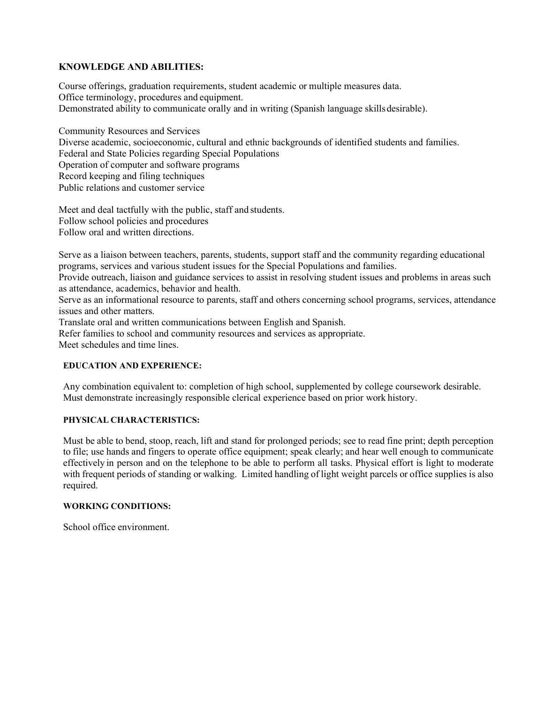## KNOWLEDGE AND ABILITIES:

Course offerings, graduation requirements, student academic or multiple measures data. Office terminology, procedures and equipment. Demonstrated ability to communicate orally and in writing (Spanish language skills desirable).

Community Resources and Services Diverse academic, socioeconomic, cultural and ethnic backgrounds of identified students and families. Federal and State Policies regarding Special Populations Operation of computer and software programs Record keeping and filing techniques Public relations and customer service

Meet and deal tactfully with the public, staff and students. Follow school policies and procedures Follow oral and written directions.

Serve as a liaison between teachers, parents, students, support staff and the community regarding educational programs, services and various student issues for the Special Populations and families.

Provide outreach, liaison and guidance services to assist in resolving student issues and problems in areas such as attendance, academics, behavior and health.

Serve as an informational resource to parents, staff and others concerning school programs, services, attendance issues and other matters.

Translate oral and written communications between English and Spanish.

Refer families to school and community resources and services as appropriate.

Meet schedules and time lines.

## EDUCATION AND EXPERIENCE:

Any combination equivalent to: completion of high school, supplemented by college coursework desirable. Must demonstrate increasingly responsible clerical experience based on prior work history.

## PHYSICAL CHARACTERISTICS:

Must be able to bend, stoop, reach, lift and stand for prolonged periods; see to read fine print; depth perception to file; use hands and fingers to operate office equipment; speak clearly; and hear well enough to communicate effectively in person and on the telephone to be able to perform all tasks. Physical effort is light to moderate with frequent periods of standing or walking. Limited handling of light weight parcels or office supplies is also required.

#### WORKING CONDITIONS:

School office environment.